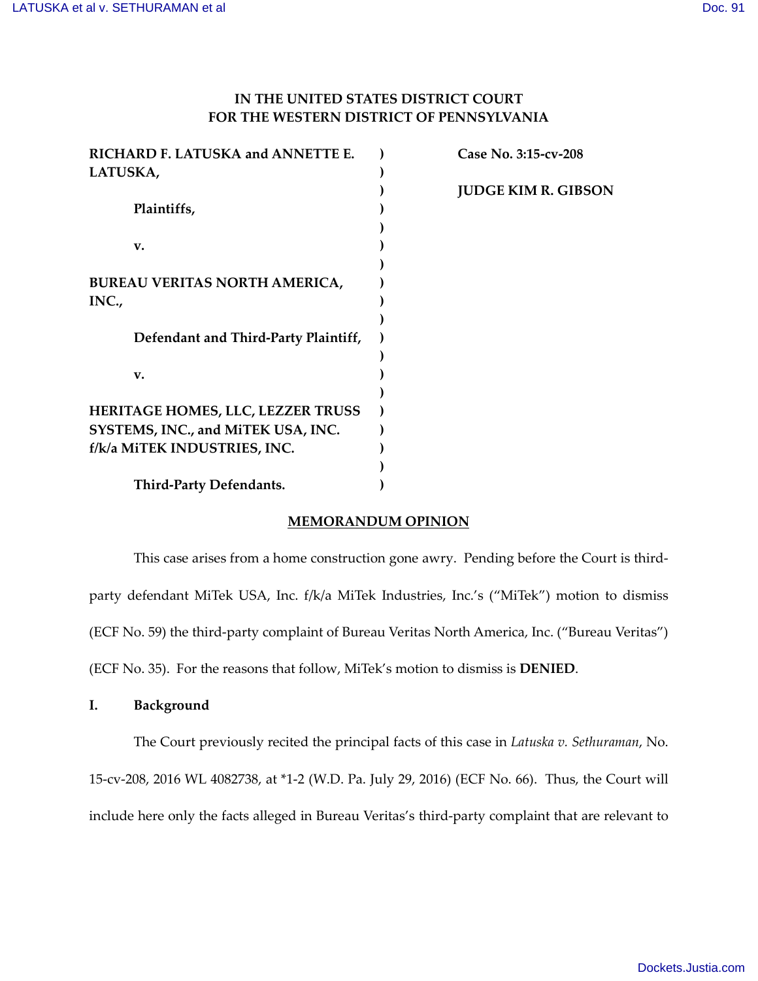# **IN THE UNITED STATES DISTRICT COURT FOR THE WESTERN DISTRICT OF PENNSYLVANIA**

| RICHARD F. LATUSKA and ANNETTE E.    | Case No. 3:15-cv-208       |
|--------------------------------------|----------------------------|
| LATUSKA,                             |                            |
|                                      | <b>JUDGE KIM R. GIBSON</b> |
| Plaintiffs,                          |                            |
|                                      |                            |
| v.                                   |                            |
|                                      |                            |
| <b>BUREAU VERITAS NORTH AMERICA,</b> |                            |
| INC.,                                |                            |
|                                      |                            |
| Defendant and Third-Party Plaintiff, |                            |
|                                      |                            |
| v.                                   |                            |
|                                      |                            |
| HERITAGE HOMES, LLC, LEZZER TRUSS    |                            |
| SYSTEMS, INC., and MiTEK USA, INC.   |                            |
| f/k/a MiTEK INDUSTRIES, INC.         |                            |
|                                      |                            |
| Third-Party Defendants.              |                            |

# **MEMORANDUM OPINION**

This case arises from a home construction gone awry. Pending before the Court is thirdparty defendant MiTek USA, Inc. f/k/a MiTek Industries, Inc.'s ("MiTek") motion to dismiss (ECF No. 59) the third-party complaint of Bureau Veritas North America, Inc. ("Bureau Veritas") (ECF No. 35). For the reasons that follow, MiTek's motion to dismiss is **DENIED**.

**I. Background**

The Court previously recited the principal facts of this case in *Latuska v. Sethuraman*, No. 15-cv-208, 2016 WL 4082738, at \*1-2 (W.D. Pa. July 29, 2016) (ECF No. 66). Thus, the Court will

include here only the facts alleged in Bureau Veritas's third-party complaint that are relevant to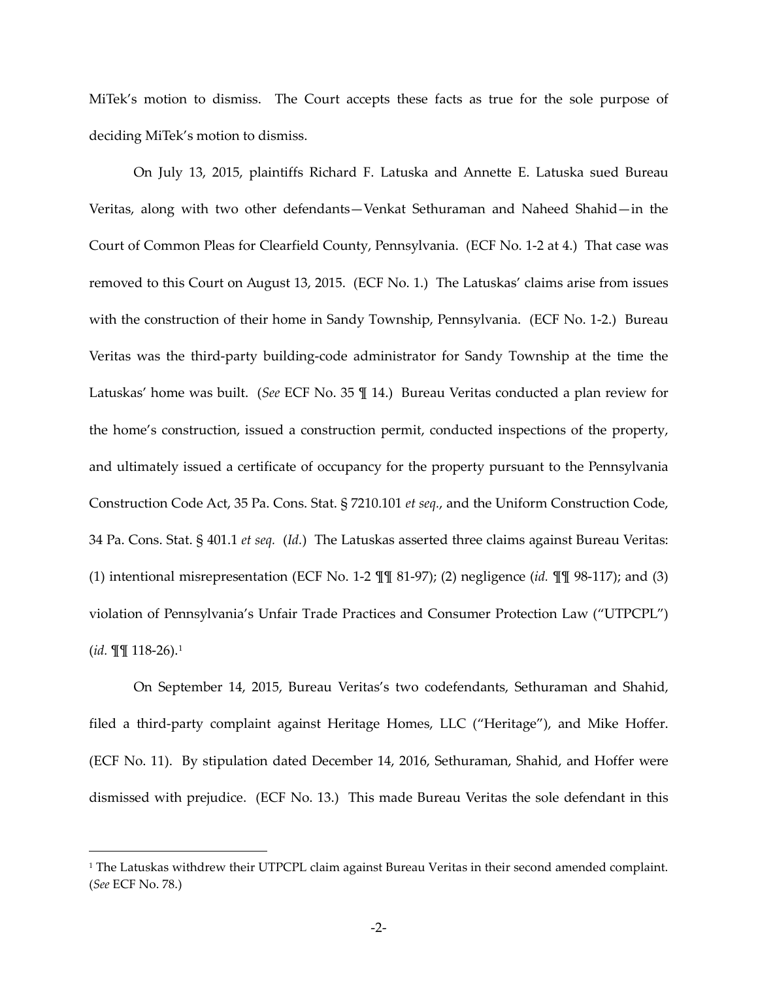MiTek's motion to dismiss. The Court accepts these facts as true for the sole purpose of deciding MiTek's motion to dismiss.

On July 13, 2015, plaintiffs Richard F. Latuska and Annette E. Latuska sued Bureau Veritas, along with two other defendants—Venkat Sethuraman and Naheed Shahid—in the Court of Common Pleas for Clearfield County, Pennsylvania. (ECF No. 1-2 at 4.) That case was removed to this Court on August 13, 2015. (ECF No. 1.) The Latuskas' claims arise from issues with the construction of their home in Sandy Township, Pennsylvania. (ECF No. 1-2.) Bureau Veritas was the third-party building-code administrator for Sandy Township at the time the Latuskas' home was built. (*See* ECF No. 35 ¶ 14.) Bureau Veritas conducted a plan review for the home's construction, issued a construction permit, conducted inspections of the property, and ultimately issued a certificate of occupancy for the property pursuant to the Pennsylvania Construction Code Act, 35 Pa. Cons. Stat. § 7210.101 *et seq.*, and the Uniform Construction Code, 34 Pa. Cons. Stat. § 401.1 *et seq.* (*Id.*) The Latuskas asserted three claims against Bureau Veritas: (1) intentional misrepresentation (ECF No. 1-2 ¶¶ 81-97); (2) negligence (*id.* ¶¶ 98-117); and (3) violation of Pennsylvania's Unfair Trade Practices and Consumer Protection Law ("UTPCPL") (*id.* ¶¶ 118-26).[1](#page-1-0)

On September 14, 2015, Bureau Veritas's two codefendants, Sethuraman and Shahid, filed a third-party complaint against Heritage Homes, LLC ("Heritage"), and Mike Hoffer. (ECF No. 11). By stipulation dated December 14, 2016, Sethuraman, Shahid, and Hoffer were dismissed with prejudice. (ECF No. 13.) This made Bureau Veritas the sole defendant in this

l.

<span id="page-1-0"></span><sup>&</sup>lt;sup>1</sup> The Latuskas withdrew their UTPCPL claim against Bureau Veritas in their second amended complaint. (*See* ECF No. 78.)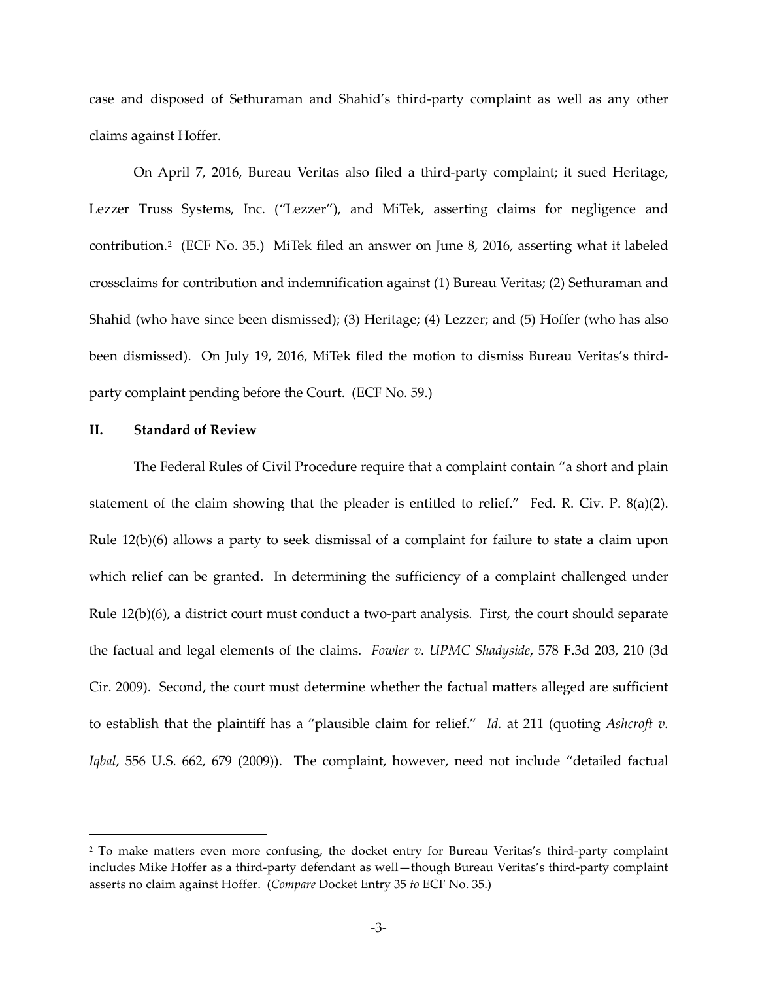case and disposed of Sethuraman and Shahid's third-party complaint as well as any other claims against Hoffer.

On April 7, 2016, Bureau Veritas also filed a third-party complaint; it sued Heritage, Lezzer Truss Systems, Inc. ("Lezzer"), and MiTek, asserting claims for negligence and contribution.[2](#page-2-0) (ECF No. 35.) MiTek filed an answer on June 8, 2016, asserting what it labeled crossclaims for contribution and indemnification against (1) Bureau Veritas; (2) Sethuraman and Shahid (who have since been dismissed); (3) Heritage; (4) Lezzer; and (5) Hoffer (who has also been dismissed). On July 19, 2016, MiTek filed the motion to dismiss Bureau Veritas's thirdparty complaint pending before the Court. (ECF No. 59.)

## **II. Standard of Review**

 $\overline{a}$ 

The Federal Rules of Civil Procedure require that a complaint contain "a short and plain statement of the claim showing that the pleader is entitled to relief." Fed. R. Civ. P. 8(a)(2). Rule 12(b)(6) allows a party to seek dismissal of a complaint for failure to state a claim upon which relief can be granted. In determining the sufficiency of a complaint challenged under Rule 12(b)(6), a district court must conduct a two-part analysis. First, the court should separate the factual and legal elements of the claims. *Fowler v. UPMC Shadyside*, 578 F.3d 203, 210 (3d Cir. 2009). Second, the court must determine whether the factual matters alleged are sufficient to establish that the plaintiff has a "plausible claim for relief." *Id.* at 211 (quoting *Ashcroft v. Iqbal*, 556 U.S. 662, 679 (2009)). The complaint, however, need not include "detailed factual

<span id="page-2-0"></span><sup>2</sup> To make matters even more confusing, the docket entry for Bureau Veritas's third-party complaint includes Mike Hoffer as a third-party defendant as well—though Bureau Veritas's third-party complaint asserts no claim against Hoffer. (*Compare* Docket Entry 35 *to* ECF No. 35.)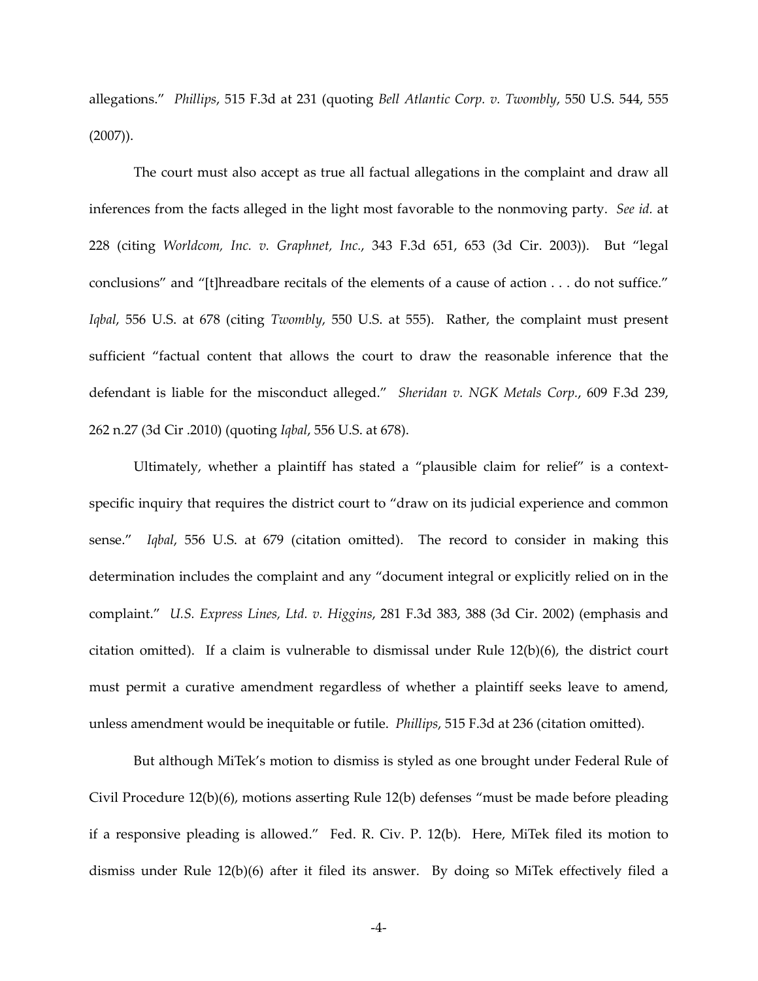allegations." *Phillips*, 515 F.3d at 231 (quoting *Bell Atlantic Corp. v. Twombly*, 550 U.S. 544, 555 (2007)).

The court must also accept as true all factual allegations in the complaint and draw all inferences from the facts alleged in the light most favorable to the nonmoving party. *See id.* at 228 (citing *Worldcom, Inc. v. Graphnet, Inc.*, 343 F.3d 651, 653 (3d Cir. 2003)). But "legal conclusions" and "[t]hreadbare recitals of the elements of a cause of action . . . do not suffice." *Iqbal*, 556 U.S. at 678 (citing *Twombly*, 550 U.S. at 555). Rather, the complaint must present sufficient "factual content that allows the court to draw the reasonable inference that the defendant is liable for the misconduct alleged." *Sheridan v. NGK Metals Corp.*, 609 F.3d 239, 262 n.27 (3d Cir .2010) (quoting *Iqbal*, 556 U.S. at 678).

Ultimately, whether a plaintiff has stated a "plausible claim for relief" is a contextspecific inquiry that requires the district court to "draw on its judicial experience and common sense." *Iqbal*, 556 U.S. at 679 (citation omitted). The record to consider in making this determination includes the complaint and any "document integral or explicitly relied on in the complaint." *U.S. Express Lines, Ltd. v. Higgins*, 281 F.3d 383, 388 (3d Cir. 2002) (emphasis and citation omitted). If a claim is vulnerable to dismissal under Rule  $12(b)(6)$ , the district court must permit a curative amendment regardless of whether a plaintiff seeks leave to amend, unless amendment would be inequitable or futile. *Phillips*, 515 F.3d at 236 (citation omitted).

But although MiTek's motion to dismiss is styled as one brought under Federal Rule of Civil Procedure 12(b)(6), motions asserting Rule 12(b) defenses "must be made before pleading if a responsive pleading is allowed." Fed. R. Civ. P. 12(b). Here, MiTek filed its motion to dismiss under Rule 12(b)(6) after it filed its answer. By doing so MiTek effectively filed a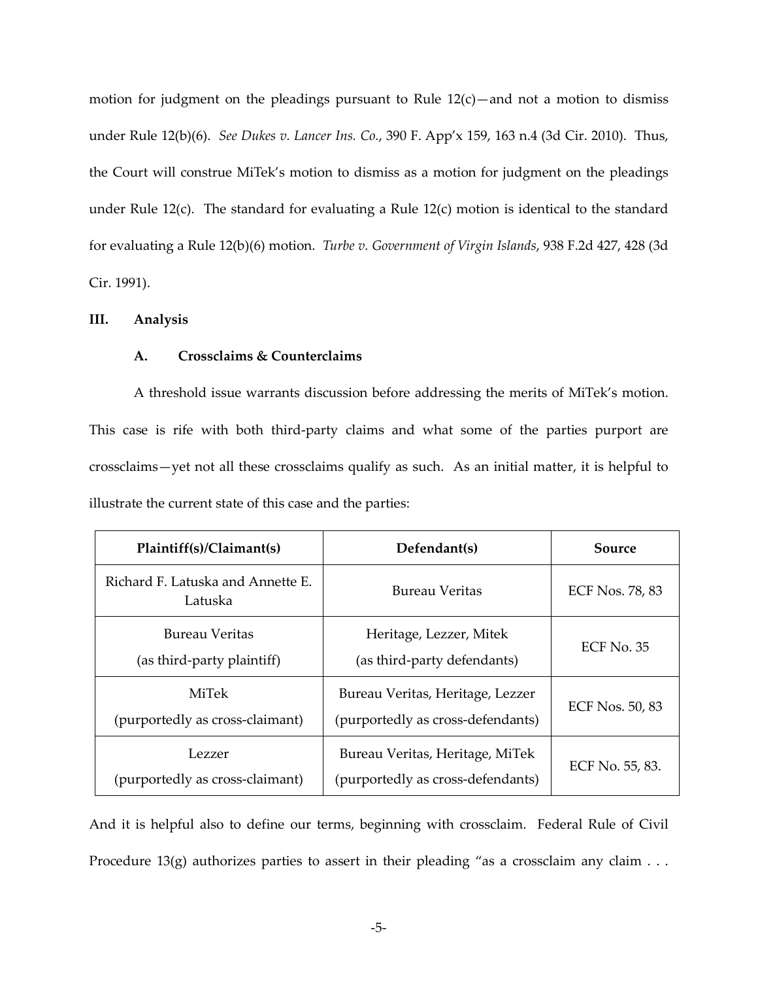motion for judgment on the pleadings pursuant to Rule  $12(c)$ —and not a motion to dismiss under Rule 12(b)(6). *See Dukes v. Lancer Ins. Co.*, 390 F. App'x 159, 163 n.4 (3d Cir. 2010). Thus, the Court will construe MiTek's motion to dismiss as a motion for judgment on the pleadings under Rule 12(c). The standard for evaluating a Rule 12(c) motion is identical to the standard for evaluating a Rule 12(b)(6) motion. *Turbe v. Government of Virgin Islands*, 938 F.2d 427, 428 (3d Cir. 1991).

#### **III. Analysis**

## **A. Crossclaims & Counterclaims**

A threshold issue warrants discussion before addressing the merits of MiTek's motion. This case is rife with both third-party claims and what some of the parties purport are crossclaims—yet not all these crossclaims qualify as such. As an initial matter, it is helpful to illustrate the current state of this case and the parties:

| Plaintiff(s)/Claimant(s)                     | Defendant(s)                                                          | Source                 |
|----------------------------------------------|-----------------------------------------------------------------------|------------------------|
| Richard F. Latuska and Annette E.<br>Latuska | <b>Bureau Veritas</b>                                                 | <b>ECF Nos. 78, 83</b> |
| Bureau Veritas<br>(as third-party plaintiff) | Heritage, Lezzer, Mitek<br>(as third-party defendants)                | $ECF$ No. 35           |
| MiTek<br>(purportedly as cross-claimant)     | Bureau Veritas, Heritage, Lezzer<br>(purportedly as cross-defendants) | ECF Nos. 50, 83        |
| Lezzer<br>(purportedly as cross-claimant)    | Bureau Veritas, Heritage, MiTek<br>(purportedly as cross-defendants)  | ECF No. 55, 83.        |

And it is helpful also to define our terms, beginning with crossclaim. Federal Rule of Civil Procedure 13(g) authorizes parties to assert in their pleading "as a crossclaim any claim . . .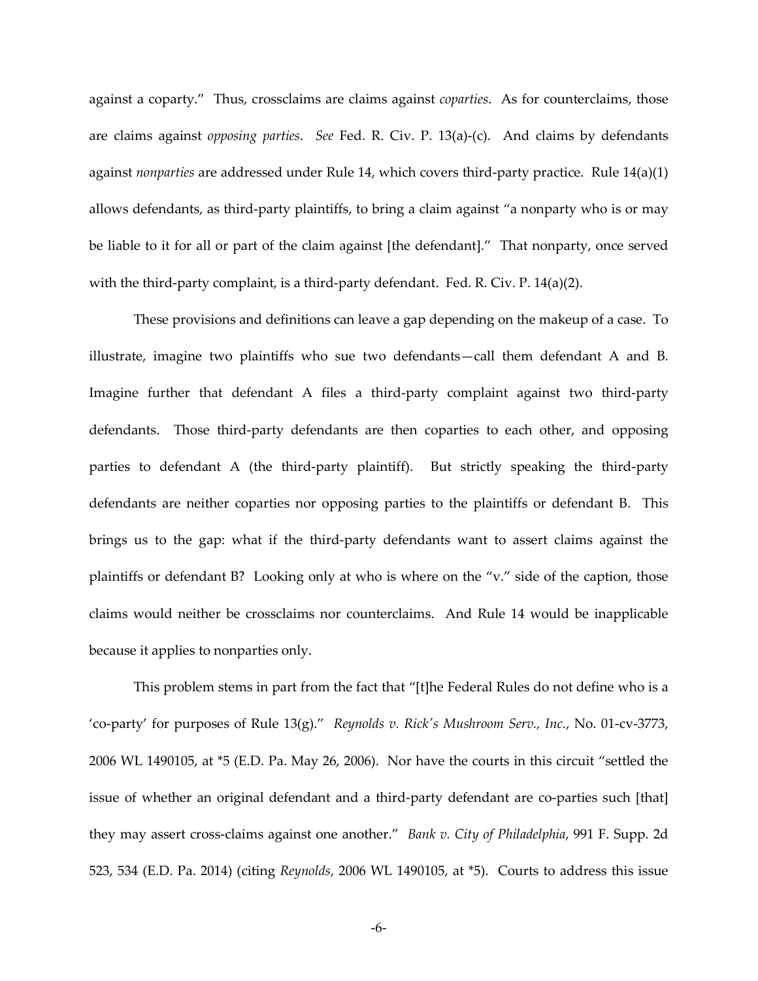against a coparty." Thus, crossclaims are claims against *coparties*. As for counterclaims, those are claims against *opposing parties*. *See* Fed. R. Civ. P. 13(a)-(c). And claims by defendants against *nonparties* are addressed under Rule 14, which covers third-party practice. Rule 14(a)(1) allows defendants, as third-party plaintiffs, to bring a claim against "a nonparty who is or may be liable to it for all or part of the claim against [the defendant]." That nonparty, once served with the third-party complaint, is a third-party defendant. Fed. R. Civ. P. 14(a)(2).

These provisions and definitions can leave a gap depending on the makeup of a case. To illustrate, imagine two plaintiffs who sue two defendants—call them defendant A and B. Imagine further that defendant A files a third-party complaint against two third-party defendants. Those third-party defendants are then coparties to each other, and opposing parties to defendant A (the third-party plaintiff). But strictly speaking the third-party defendants are neither coparties nor opposing parties to the plaintiffs or defendant B. This brings us to the gap: what if the third-party defendants want to assert claims against the plaintiffs or defendant B? Looking only at who is where on the "v." side of the caption, those claims would neither be crossclaims nor counterclaims. And Rule 14 would be inapplicable because it applies to nonparties only.

This problem stems in part from the fact that "[t]he Federal Rules do not define who is a 'co-party' for purposes of Rule 13(g)." *Reynolds v. Rick's Mushroom Serv., Inc.*, No. 01-cv-3773, 2006 WL 1490105, at \*5 (E.D. Pa. May 26, 2006). Nor have the courts in this circuit "settled the issue of whether an original defendant and a third-party defendant are co-parties such [that] they may assert cross-claims against one another." *Bank v. City of Philadelphia*, 991 F. Supp. 2d 523, 534 (E.D. Pa. 2014) (citing *Reynolds*, 2006 WL 1490105, at \*5). Courts to address this issue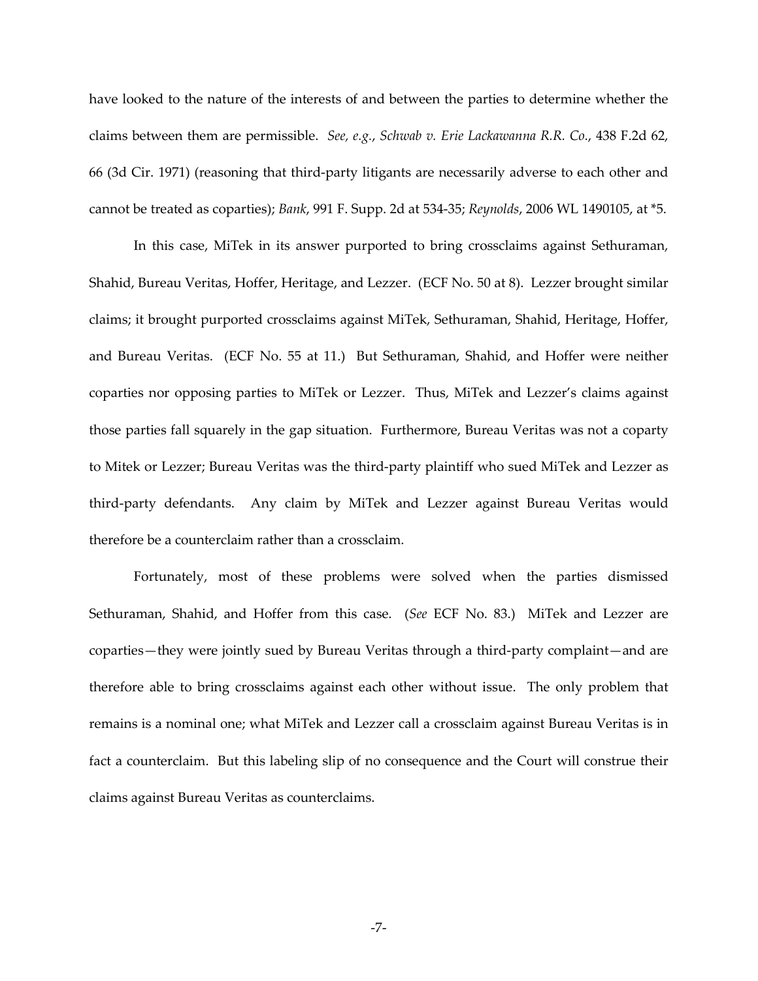have looked to the nature of the interests of and between the parties to determine whether the claims between them are permissible. *See, e.g.*, *Schwab v. Erie Lackawanna R.R. Co.*, 438 F.2d 62, 66 (3d Cir. 1971) (reasoning that third-party litigants are necessarily adverse to each other and cannot be treated as coparties); *Bank*, 991 F. Supp. 2d at 534-35; *Reynolds*, 2006 WL 1490105, at \*5.

In this case, MiTek in its answer purported to bring crossclaims against Sethuraman, Shahid, Bureau Veritas, Hoffer, Heritage, and Lezzer. (ECF No. 50 at 8). Lezzer brought similar claims; it brought purported crossclaims against MiTek, Sethuraman, Shahid, Heritage, Hoffer, and Bureau Veritas. (ECF No. 55 at 11.) But Sethuraman, Shahid, and Hoffer were neither coparties nor opposing parties to MiTek or Lezzer. Thus, MiTek and Lezzer's claims against those parties fall squarely in the gap situation. Furthermore, Bureau Veritas was not a coparty to Mitek or Lezzer; Bureau Veritas was the third-party plaintiff who sued MiTek and Lezzer as third-party defendants. Any claim by MiTek and Lezzer against Bureau Veritas would therefore be a counterclaim rather than a crossclaim.

Fortunately, most of these problems were solved when the parties dismissed Sethuraman, Shahid, and Hoffer from this case. (*See* ECF No. 83.) MiTek and Lezzer are coparties—they were jointly sued by Bureau Veritas through a third-party complaint—and are therefore able to bring crossclaims against each other without issue. The only problem that remains is a nominal one; what MiTek and Lezzer call a crossclaim against Bureau Veritas is in fact a counterclaim. But this labeling slip of no consequence and the Court will construe their claims against Bureau Veritas as counterclaims.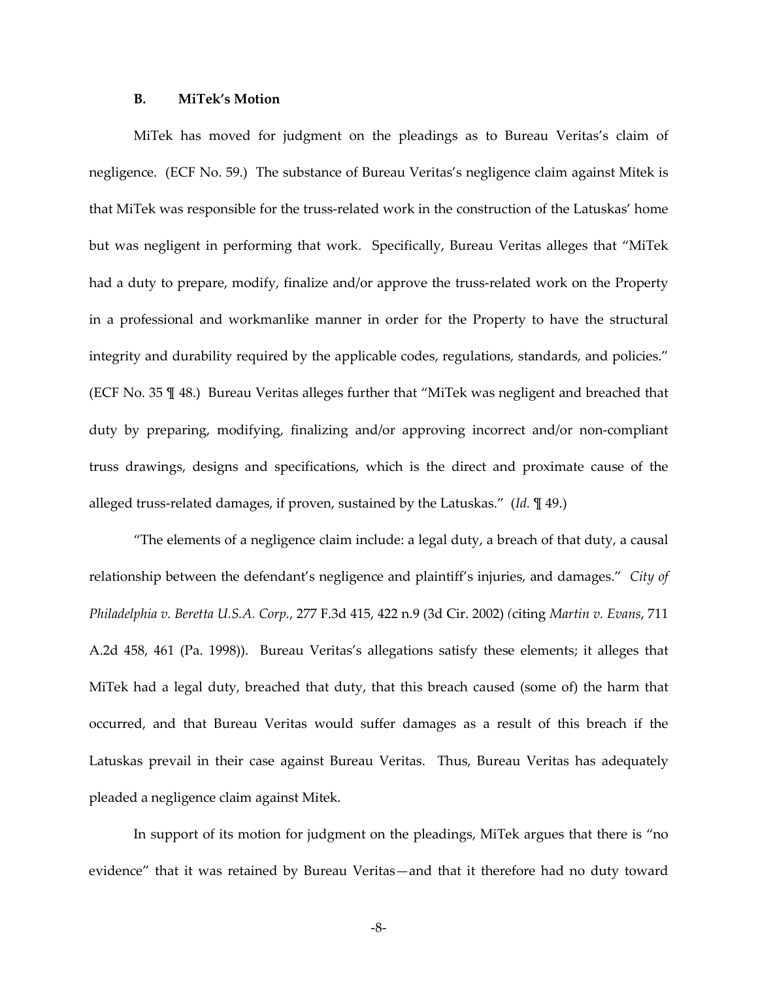### **B. MiTek's Motion**

MiTek has moved for judgment on the pleadings as to Bureau Veritas's claim of negligence. (ECF No. 59.) The substance of Bureau Veritas's negligence claim against Mitek is that MiTek was responsible for the truss-related work in the construction of the Latuskas' home but was negligent in performing that work. Specifically, Bureau Veritas alleges that "MiTek had a duty to prepare, modify, finalize and/or approve the truss-related work on the Property in a professional and workmanlike manner in order for the Property to have the structural integrity and durability required by the applicable codes, regulations, standards, and policies." (ECF No. 35 ¶ 48.) Bureau Veritas alleges further that "MiTek was negligent and breached that duty by preparing, modifying, finalizing and/or approving incorrect and/or non-compliant truss drawings, designs and specifications, which is the direct and proximate cause of the alleged truss-related damages, if proven, sustained by the Latuskas." (*Id.* ¶ 49.)

"The elements of a negligence claim include: a legal duty, a breach of that duty, a causal relationship between the defendant's negligence and plaintiff's injuries, and damages." *City of Philadelphia v. Beretta U.S.A. Corp.*, 277 F.3d 415, 422 n.9 (3d Cir. 2002) *(*citing *Martin v. Evans*, 711 A.2d 458, 461 (Pa. 1998)). Bureau Veritas's allegations satisfy these elements; it alleges that MiTek had a legal duty, breached that duty, that this breach caused (some of) the harm that occurred, and that Bureau Veritas would suffer damages as a result of this breach if the Latuskas prevail in their case against Bureau Veritas. Thus, Bureau Veritas has adequately pleaded a negligence claim against Mitek.

In support of its motion for judgment on the pleadings, MiTek argues that there is "no evidence" that it was retained by Bureau Veritas—and that it therefore had no duty toward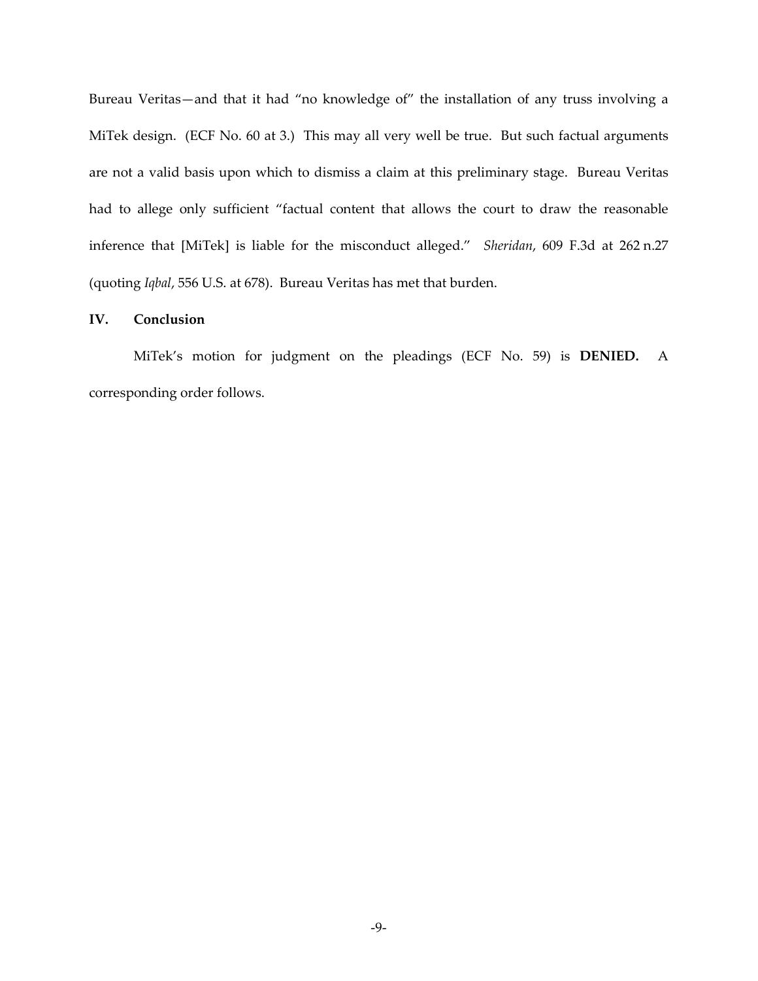Bureau Veritas—and that it had "no knowledge of" the installation of any truss involving a MiTek design. (ECF No. 60 at 3.) This may all very well be true. But such factual arguments are not a valid basis upon which to dismiss a claim at this preliminary stage. Bureau Veritas had to allege only sufficient "factual content that allows the court to draw the reasonable inference that [MiTek] is liable for the misconduct alleged." *Sheridan*, 609 F.3d at 262 n.27 (quoting *Iqbal*, 556 U.S. at 678). Bureau Veritas has met that burden.

#### **IV. Conclusion**

MiTek's motion for judgment on the pleadings (ECF No. 59) is **DENIED.** A corresponding order follows.